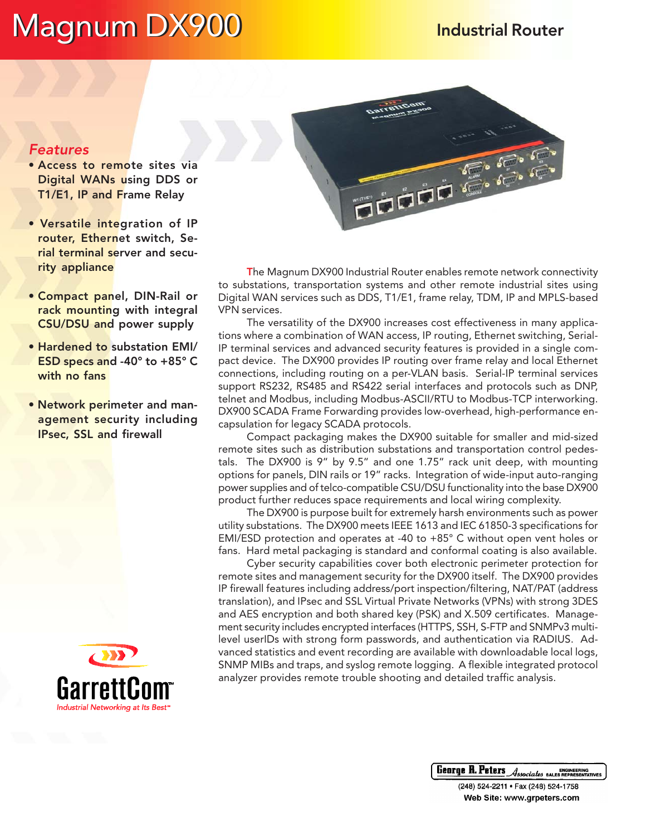# Magnum DX900 Magnum Industrial Router

# Features

- Access to remote sites via Digital WANs using DDS or T1/E1, IP and Frame Relay
- Versatile integration of IP router, Ethernet switch, Serial terminal server and security appliance
- Compact panel, DIN-Rail or rack mounting with integral CSU/DSU and power supply
- Hardened to substation EMI/ ESD specs and -40° to +85° C with no fans
- Network perimeter and management security including IPsec, SSL and firewall





The Magnum DX900 Industrial Router enables remote network connectivity to substations, transportation systems and other remote industrial sites using Digital WAN services such as DDS, T1/E1, frame relay, TDM, IP and MPLS-based VPN services.

The versatility of the DX900 increases cost effectiveness in many applications where a combination of WAN access, IP routing, Ethernet switching, Serial-IP terminal services and advanced security features is provided in a single compact device. The DX900 provides IP routing over frame relay and local Ethernet connections, including routing on a per-VLAN basis. Serial-IP terminal services support RS232, RS485 and RS422 serial interfaces and protocols such as DNP, telnet and Modbus, including Modbus-ASCII/RTU to Modbus-TCP interworking. DX900 SCADA Frame Forwarding provides low-overhead, high-performance encapsulation for legacy SCADA protocols.

Compact packaging makes the DX900 suitable for smaller and mid-sized remote sites such as distribution substations and transportation control pedestals. The DX900 is 9" by 9.5" and one 1.75" rack unit deep, with mounting options for panels, DIN rails or 19" racks. Integration of wide-input auto-ranging power supplies and of telco-compatible CSU/DSU functionality into the base DX900 product further reduces space requirements and local wiring complexity.

The DX900 is purpose built for extremely harsh environments such as power utility substations. The DX900 meets IEEE 1613 and IEC 61850-3 specifications for EMI/ESD protection and operates at -40 to +85° C without open vent holes or fans. Hard metal packaging is standard and conformal coating is also available.

Cyber security capabilities cover both electronic perimeter protection for remote sites and management security for the DX900 itself. The DX900 provides IP firewall features including address/port inspection/filtering, NAT/PAT (address translation), and IPsec and SSL Virtual Private Networks (VPNs) with strong 3DES and AES encryption and both shared key (PSK) and X.509 certificates. Management security includes encrypted interfaces (HTTPS, SSH, S-FTP and SNMPv3 multilevel userIDs with strong form passwords, and authentication via RADIUS. Advanced statistics and event recording are available with downloadable local logs, SNMP MIBs and traps, and syslog remote logging. A flexible integrated protocol analyzer provides remote trouble shooting and detailed traffic analysis.

**George R. Peters Associates SALES REPRESENTATIVES** 

(248) 524-2211 · Fax (248) 524-1758 Web Site: www.grpeters.com